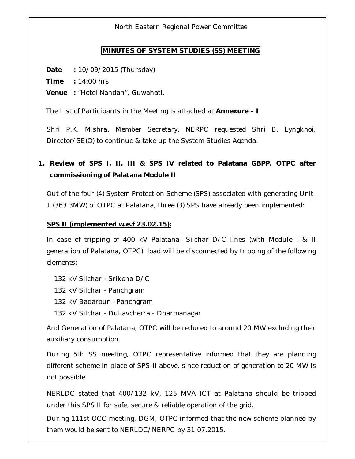North Eastern Regional Power Committee

#### **MINUTES OF SYSTEM STUDIES (SS) MEETING**

**Date :** 10/09/2015 (Thursday)

**Time :** 14:00 hrs

**Venue :** "Hotel Nandan", Guwahati.

The List of Participants in the Meeting is attached at **Annexure – I**

Shri P.K. Mishra, Member Secretary, NERPC requested Shri B. Lyngkhoi, Director/SE(O) to continue & take up the System Studies Agenda.

# **1. Review of SPS I, II, III & SPS IV related to Palatana GBPP, OTPC after commissioning of Palatana Module II**

Out of the four (4) System Protection Scheme (SPS) associated with generating Unit-1 (363.3MW) of OTPC at Palatana, three (3) SPS have already been implemented:

#### **SPS II (implemented w.e.f 23.02.15):**

In case of tripping of 400 kV Palatana- Silchar D/C lines (with Module I & II generation of Palatana, OTPC), load will be disconnected by tripping of the following elements:

132 kV Silchar - Srikona D/C

132 kV Silchar - Panchgram

132 kV Badarpur - Panchgram

132 kV Silchar - Dullavcherra - Dharmanagar

And Generation of Palatana, OTPC will be reduced to around 20 MW excluding their auxiliary consumption.

During 5th SS meeting, OTPC representative informed that they are planning different scheme in place of SPS-II above, since reduction of generation to 20 MW is not possible.

NERLDC stated that 400/132 kV, 125 MVA ICT at Palatana should be tripped under this SPS II for safe, secure & reliable operation of the grid.

During 111st OCC meeting, DGM, OTPC informed that the new scheme planned by them would be sent to NERLDC/NERPC by 31.07.2015.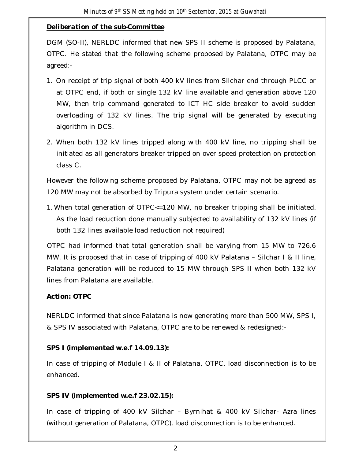# *Deliberation of the sub-Committee*

DGM (SO-II), NERLDC informed that new SPS II scheme is proposed by Palatana, OTPC. He stated that the following scheme proposed by Palatana, OTPC may be agreed:-

- 1. On receipt of trip signal of both 400 kV lines from Silchar end through PLCC or at OTPC end, if both or single 132 kV line available and generation above 120 MW, then trip command generated to ICT HC side breaker to avoid sudden overloading of 132 kV lines. The trip signal will be generated by executing algorithm in DCS.
- 2. When both 132 kV lines tripped along with 400 kV line, no tripping shall be initiated as all generators breaker tripped on over speed protection on protection class C.

However the following scheme proposed by Palatana, OTPC may not be agreed as 120 MW may not be absorbed by Tripura system under certain scenario.

1. When total generation of OTPC<=120 MW, no breaker tripping shall be initiated. As the load reduction done manually subjected to availability of 132 kV lines (if both 132 lines available load reduction not required)

 OTPC had informed that total generation shall be varying from 15 MW to 726.6 MW. It is proposed that in case of tripping of 400 kV Palatana – Silchar I & II line, Palatana generation will be reduced to 15 MW through SPS II when both 132 kV lines from Palatana are available.

# *Action: OTPC*

NERLDC informed that since Palatana is now generating more than 500 MW, SPS I, & SPS IV associated with Palatana, OTPC are to be renewed & redesigned:-

#### **SPS I (implemented w.e.f 14.09.13):**

In case of tripping of Module I & II of Palatana, OTPC, load disconnection is to be enhanced.

# **SPS IV (implemented w.e.f 23.02.15):**

In case of tripping of 400 kV Silchar – Byrnihat & 400 kV Silchar- Azra lines (without generation of Palatana, OTPC), load disconnection is to be enhanced.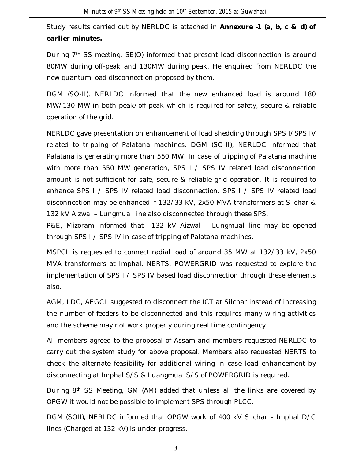Study results carried out by NERLDC is attached in *Annexure -1 (a, b, c & d) of earlier minutes.*

During 7th SS meeting, SE(O) informed that present load disconnection is around 80MW during off-peak and 130MW during peak. He enquired from NERLDC the new quantum load disconnection proposed by them.

DGM (SO-II), NERLDC informed that the new enhanced load is around 180 MW/130 MW in both peak/off-peak which is required for safety, secure & reliable operation of the grid.

NERLDC gave presentation on enhancement of load shedding through SPS I/SPS IV related to tripping of Palatana machines. DGM (SO-II), NERLDC informed that Palatana is generating more than 550 MW. In case of tripping of Palatana machine with more than 550 MW generation, SPS I / SPS IV related load disconnection amount is not sufficient for safe, secure & reliable grid operation. It is required to enhance SPS I / SPS IV related load disconnection. SPS I / SPS IV related load disconnection may be enhanced if 132/33 kV, 2x50 MVA transformers at Silchar & 132 kV Aizwal – Lungmual line also disconnected through these SPS.

P&E, Mizoram informed that 132 kV Aizwal – Lungmual line may be opened through SPS I / SPS IV in case of tripping of Palatana machines.

MSPCL is requested to connect radial load of around 35 MW at 132/33 kV, 2x50 MVA transformers at Imphal. NERTS, POWERGRID was requested to explore the implementation of SPS I / SPS IV based load disconnection through these elements also.

AGM, LDC, AEGCL suggested to disconnect the ICT at Silchar instead of increasing the number of feeders to be disconnected and this requires many wiring activities and the scheme may not work properly during real time contingency.

All members agreed to the proposal of Assam and members requested NERLDC to carry out the system study for above proposal. Members also requested NERTS to check the alternate feasibility for additional wiring in case load enhancement by disconnecting at Imphal S/S & Luangmual S/S of POWERGRID is required.

During 8th SS Meeting, GM (AM) added that unless all the links are covered by OPGW it would not be possible to implement SPS through PLCC.

DGM (SOII), NERLDC informed that OPGW work of 400 kV Silchar – Imphal D/C lines (Charged at 132 kV) is under progress.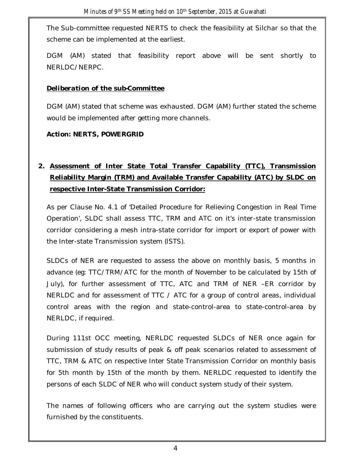The Sub-committee requested NERTS to check the feasibility at Silchar so that the scheme can be implemented at the earliest.

DGM (AM) stated that feasibility report above will be sent shortly to NERLDC/NERPC.

### *Deliberation of the sub-Committee*

DGM (AM) stated that scheme was exhausted. DGM (AM) further stated the scheme would be implemented after getting more channels.

#### *Action: NERTS, POWERGRID*

# **2. Assessment of Inter State Total Transfer Capability (TTC), Transmission Reliability Margin (TRM) and Available Transfer Capability (ATC) by SLDC on respective Inter-State Transmission Corridor:**

As per Clause No. 4.1 of 'Detailed Procedure for Relieving Congestion in Real Time Operation', SLDC shall assess TTC, TRM and ATC on it's inter-state transmission corridor considering a mesh intra-state corridor for import or export of power with the Inter-state Transmission system (ISTS).

SLDCs of NER are requested to assess the above on monthly basis, 5 months in advance (eg: TTC/TRM/ATC for the month of November to be calculated by 15th of July), for further assessment of TTC, ATC and TRM of NER –ER corridor by NERLDC and for assessment of TTC / ATC for a group of control areas, individual control areas with the region and state-control-area to state-control-area by NERLDC, if required.

During 111st OCC meeting, NERLDC requested SLDCs of NER once again for submission of study results of peak & off peak scenarios related to assessment of TTC, TRM & ATC on respective Inter State Transmission Corridor on monthly basis for 5th month by 15th of the month by them. NERLDC requested to identify the persons of each SLDC of NER who will conduct system study of their system.

The names of following officers who are carrying out the system studies were furnished by the constituents.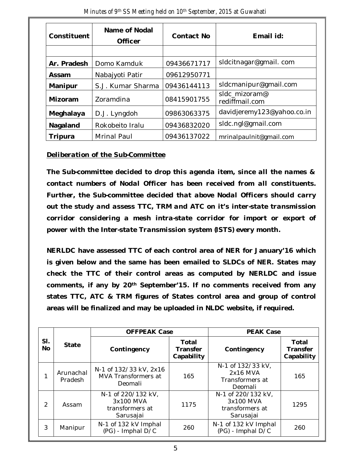| Constituent | Name of Nodal<br><b>Officer</b> | <b>Contact No</b> | Email id:                       |  |
|-------------|---------------------------------|-------------------|---------------------------------|--|
|             |                                 |                   |                                 |  |
| Ar. Pradesh | Domo Kamduk                     | 09436671717       | sldcitnagar@gmail.com           |  |
| Assam       | Nabajyoti Patir                 | 09612950771       |                                 |  |
| Manipur     | S.J. Kumar Sharma               | 09436144113       | sldcmanipur@gmail.com           |  |
| Mizoram     | Zoramdina                       | 08415901755       | sldc mizoram@<br>rediffmail.com |  |
| Meghalaya   | D.J. Lyngdoh                    | 09863063375       | davidjeremy123@yahoo.co.in      |  |
| Nagaland    | Rokobeito Iralu                 | 09436832020       | sldc.ngl@gmail.com              |  |
| Tripura     | <b>Mrinal Paul</b>              | 09436137022       | mrinalpaulnit@gmail.com         |  |

*Minutes of 9 th SS Meeting held on 10th September, 2015 at Guwahati*

#### *Deliberation of the Sub-Committee*

*The Sub-committee decided to drop this agenda item, since all the names & contact numbers of Nodal Officer has been received from all constituents. Further, the Sub-committee decided that above Nodal Officers should carry out the study and assess TTC, TRM and ATC on it's inter-state transmission corridor considering a mesh intra-state corridor for import or export of power with the Inter-state Transmission system (ISTS) every month.*

**NERLDC have assessed TTC of each control area of NER for January'16 which is given below and the same has been emailed to SLDCs of NER. States may check the TTC of their control areas as computed by NERLDC and issue comments, if any by 20th September'15. If no comments received from any states TTC, ATC & TRM figures of States control area and group of control areas will be finalized and may be uploaded in NLDC website, if required.**

|                  | <b>State</b>         | <b>OFFPEAK Case</b>                                             |                                        | <b>PEAK Case</b>                                                |                                        |
|------------------|----------------------|-----------------------------------------------------------------|----------------------------------------|-----------------------------------------------------------------|----------------------------------------|
| SI.<br><b>No</b> |                      | Contingency                                                     | Total<br><b>Transfer</b><br>Capability | Contingency                                                     | Total<br><b>Transfer</b><br>Capability |
|                  | Arunachal<br>Pradesh | N-1 of 132/33 kV, 2x16<br>MVA Transformers at<br>Deomali        | 165                                    | N-1 of 132/33 kV,<br>2x16 MVA<br>Transformers at<br>Deomali     | 165                                    |
| $\mathcal{D}$    | Assam                | N-1 of 220/132 kV,<br>3x100 MVA<br>transformers at<br>Sarusajai | 1175                                   | N-1 of 220/132 kV,<br>3x100 MVA<br>transformers at<br>Sarusajai | 1295                                   |
| 3                | Manipur              | N-1 of 132 kV Imphal<br>(PG) - Imphal D/C                       | 260                                    | N-1 of 132 kV Imphal<br>(PG) - Imphal D/C                       | 260                                    |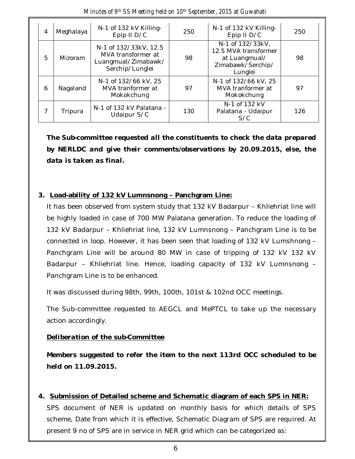| 4 | Meghalaya | N-1 of 132 kV Killing-<br>Epip II D/C                                                 | 250 | N-1 of 132 kV Killing-<br>Epip II D/C                                                     | 250 |
|---|-----------|---------------------------------------------------------------------------------------|-----|-------------------------------------------------------------------------------------------|-----|
| 5 | Mizoram   | N-1 of 132/33kV, 12.5<br>MVA transformer at<br>Luangmual/Zimabawk/<br>Serchip/Lunglei | 98  | N-1 of 132/33kV,<br>12.5 MVA transformer<br>at Luangmual/<br>Zimabawk/Serchip/<br>Lunglei | 98  |
| 6 | Nagaland  | N-1 of 132/66 kV, 25<br>MVA tranformer at<br>Mokokchung                               | 97  | N-1 of 132/66 kV, 25<br>MVA tranformer at<br>Mokokchung                                   | 97  |
|   | Tripura   | N-1 of 132 kV Palatana -<br>Udaipur S/C                                               | 130 | N-1 of 132 kV<br>Palatana - Udaipur<br>S/C                                                | 126 |

*Minutes of 9 th SS Meeting held on 10th September, 2015 at Guwahati*

*The Sub-committee requested all the constituents to check the data prepared by NERLDC and give their comments/observations by 20.09.2015, else, the data is taken as final.*

#### **3. Load-ability of 132 kV Lumnsnong – Panchgram Line:**

It has been observed from system study that 132 kV Badarpur – Khliehriat line will be highly loaded in case of 700 MW Palatana generation. To reduce the loading of 132 kV Badarpur – Khliehriat line, 132 kV Lumnsnong – Panchgram Line is to be connected in loop. However, it has been seen that loading of 132 kV Lumshnong – Panchgram Line will be around 80 MW in case of tripping of 132 kV 132 kV Badarpur – Khliehriat line. Hence, loading capacity of 132 kV Lumnsnong – Panchgram Line is to be enhanced.

It was discussed during 98th, 99th, 100th, 101st & 102nd OCC meetings.

The Sub-committee requested to AEGCL and MePTCL to take up the necessary action accordingly.

#### *Deliberation of the sub-Committee*

*Members suggested to refer the item to the next 113rd OCC scheduled to be held on 11.09.2015.* 

**4. Submission of Detailed scheme and Schematic diagram of each SPS in NER:** SPS document of NER is updated on monthly basis for which details of SPS scheme, Date from which it is effective, Schematic Diagram of SPS are required. At

present 9 no of SPS are in service in NER grid which can be categorized as: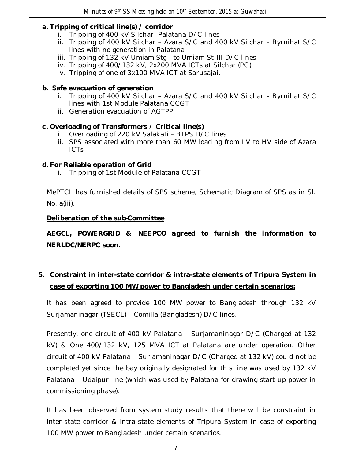#### **a. Tripping of critical line(s) / corridor**

- i. Tripping of 400 kV Silchar- Palatana D/C lines
- ii. Tripping of 400 kV Silchar Azara S/C and 400 kV Silchar Byrnihat S/C lines with no generation in Palatana
- iii. Tripping of 132 kV Umiam Stg-I to Umiam St-III D/C lines
- iv. Tripping of 400/132 kV, 2x200 MVA ICTs at Silchar (PG)
- v. Tripping of one of 3x100 MVA ICT at Sarusajai.

### **b. Safe evacuation of generation**

- i. Tripping of 400 kV Silchar Azara S/C and 400 kV Silchar Byrnihat S/C lines with 1st Module Palatana CCGT
- ii. Generation evacuation of AGTPP

# **c. Overloading of Transformers / Critical line(s)**

- i. Overloading of 220 kV Salakati BTPS D/C lines
- ii. SPS associated with more than 60 MW loading from LV to HV side of Azara ICTs

#### **d. For Reliable operation of Grid**

i. Tripping of 1st Module of Palatana CCGT

MePTCL has furnished details of SPS scheme, Schematic Diagram of SPS as in Sl. No. a(iii).

# *Deliberation of the sub-Committee*

*AEGCL, POWERGRID & NEEPCO agreed to furnish the information to NERLDC/NERPC soon.* 

# **5. Constraint in inter-state corridor & intra-state elements of Tripura System in case of exporting 100 MW power to Bangladesh under certain scenarios:**

It has been agreed to provide 100 MW power to Bangladesh through 132 kV Surjamaninagar (TSECL) – Comilla (Bangladesh) D/C lines.

Presently, one circuit of 400 kV Palatana – Surjamaninagar D/C (Charged at 132 kV) & One 400/132 kV, 125 MVA ICT at Palatana are under operation. Other circuit of 400 kV Palatana – Surjamaninagar D/C (Charged at 132 kV) could not be completed yet since the bay originally designated for this line was used by 132 kV Palatana – Udaipur line (which was used by Palatana for drawing start-up power in commissioning phase).

It has been observed from system study results that there will be constraint in inter-state corridor & intra-state elements of Tripura System in case of exporting 100 MW power to Bangladesh under certain scenarios.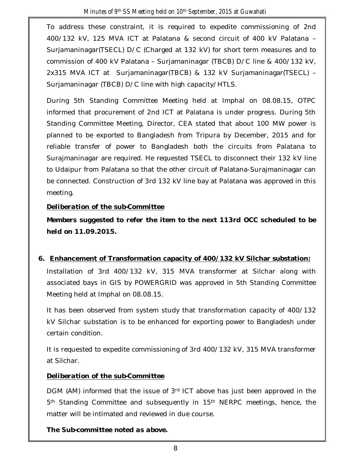To address these constraint, it is required to expedite commissioning of 2nd 400/132 kV, 125 MVA ICT at Palatana & second circuit of 400 kV Palatana – Surjamaninagar(TSECL) D/C (Charged at 132 kV) for short term measures and to commission of 400 kV Palatana – Surjamaninagar (TBCB) D/C line & 400/132 kV, 2x315 MVA ICT at Surjamaninagar(TBCB) & 132 kV Surjamaninagar(TSECL) – Surjamaninagar (TBCB) D/C line with high capacity/HTLS.

During 5th Standing Committee Meeting held at Imphal on 08.08.15, OTPC informed that procurement of 2nd ICT at Palatana is under progress. During 5th Standing Committee Meeting, Director, CEA stated that about 100 MW power is planned to be exported to Bangladesh from Tripura by December, 2015 and for reliable transfer of power to Bangladesh both the circuits from Palatana to Surajmaninagar are required. He requested TSECL to disconnect their 132 kV line to Udaipur from Palatana so that the other circuit of Palatana-Surajmaninagar can be connected. Construction of 3rd 132 kV line bay at Palatana was approved in this meeting.

# *Deliberation of the sub-Committee*

*Members suggested to refer the item to the next 113rd OCC scheduled to be held on 11.09.2015.* 

# **6. Enhancement of Transformation capacity of 400/132 kV Silchar substation:**

Installation of 3rd 400/132 kV, 315 MVA transformer at Silchar along with associated bays in GIS by POWERGRID was approved in 5th Standing Committee Meeting held at Imphal on 08.08.15.

It has been observed from system study that transformation capacity of 400/132 kV Silchar substation is to be enhanced for exporting power to Bangladesh under certain condition.

It is requested to expedite commissioning of 3rd 400/132 kV, 315 MVA transformer at Silchar.

# *Deliberation of the sub-Committee*

DGM (AM) informed that the issue of 3rd ICT above has just been approved in the 5<sup>th</sup> Standing Committee and subsequently in 15<sup>th</sup> NERPC meetings, hence, the matter will be intimated and reviewed in due course.

*The Sub-committee noted as above.*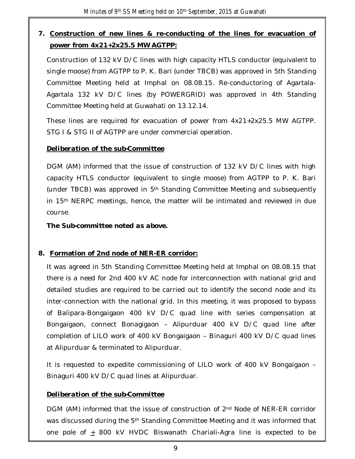# **7. Construction of new lines & re-conducting of the lines for evacuation of power from 4x21+2x25.5 MW AGTPP:**

Construction of 132 kV D/C lines with high capacity HTLS conductor (equivalent to single moose) from AGTPP to P. K. Bari (under TBCB) was approved in 5th Standing Committee Meeting held at Imphal on 08.08.15. Re-conductoring of Agartala-Agartala 132 kV D/C lines (by POWERGRID) was approved in 4th Standing Committee Meeting held at Guwahati on 13.12.14.

These lines are required for evacuation of power from 4x21+2x25.5 MW AGTPP. STG I & STG II of AGTPP are under commercial operation.

# *Deliberation of the sub-Committee*

DGM (AM) informed that the issue of construction of 132 kV D/C lines with high capacity HTLS conductor (equivalent to single moose) from AGTPP to P. K. Bari (under TBCB) was approved in 5th Standing Committee Meeting and subsequently in 15th NERPC meetings, hence, the matter will be intimated and reviewed in due course.

*The Sub-committee noted as above.* 

# **8. Formation of 2nd node of NER-ER corridor:**

It was agreed in 5th Standing Committee Meeting held at Imphal on 08.08.15 that there is a need for 2nd 400 kV AC node for interconnection with national grid and detailed studies are required to be carried out to identify the second node and its inter-connection with the national grid. In this meeting, it was proposed to bypass of Balipara-Bongaigaon 400 kV D/C quad line with series compensation at Bongaigaon, connect Bonagigaon – Alipurduar 400 kV D/C quad line after completion of LILO work of 400 kV Bongaigaon – Binaguri 400 kV D/C quad lines at Alipurduar & terminated to Alipurduar.

It is requested to expedite commissioning of LILO work of 400 kV Bongaigaon – Binaguri 400 kV D/C quad lines at Alipurduar.

# *Deliberation of the sub-Committee*

DGM (AM) informed that the issue of construction of 2<sup>nd</sup> Node of NER-ER corridor was discussed during the 5<sup>th</sup> Standing Committee Meeting and it was informed that one pole of  $\pm$  800 kV HVDC Biswanath Chariali-Agra line is expected to be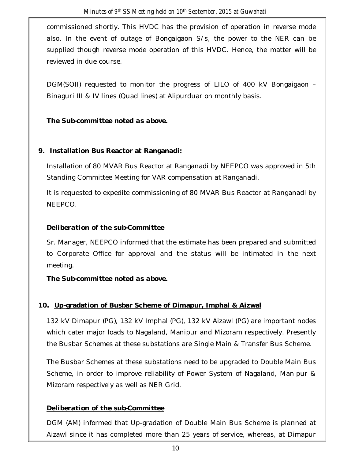commissioned shortly. This HVDC has the provision of operation in reverse mode also. In the event of outage of Bongaigaon S/s, the power to the NER can be supplied though reverse mode operation of this HVDC. Hence, the matter will be reviewed in due course.

DGM(SOII) requested to monitor the progress of LILO of 400 kV Bongaigaon – Binaguri III & IV lines (Quad lines) at Alipurduar on monthly basis.

# *The Sub-committee noted as above.*

# **9. Installation Bus Reactor at Ranganadi:**

Installation of 80 MVAR Bus Reactor at Ranganadi by NEEPCO was approved in 5th Standing Committee Meeting for VAR compensation at Ranganadi.

It is requested to expedite commissioning of 80 MVAR Bus Reactor at Ranganadi by NEEPCO.

# *Deliberation of the sub-Committee*

Sr. Manager, NEEPCO informed that the estimate has been prepared and submitted to Corporate Office for approval and the status will be intimated in the next meeting.

*The Sub-committee noted as above.* 

# **10. Up-gradation of Busbar Scheme of Dimapur, Imphal & Aizwal**

132 kV Dimapur (PG), 132 kV Imphal (PG), 132 kV Aizawl (PG) are important nodes which cater major loads to Nagaland, Manipur and Mizoram respectively. Presently the Busbar Schemes at these substations are Single Main & Transfer Bus Scheme.

The Busbar Schemes at these substations need to be upgraded to Double Main Bus Scheme, in order to improve reliability of Power System of Nagaland, Manipur & Mizoram respectively as well as NER Grid.

# *Deliberation of the sub-Committee*

DGM (AM) informed that Up-gradation of Double Main Bus Scheme is planned at Aizawl since it has completed more than 25 years of service, whereas, at Dimapur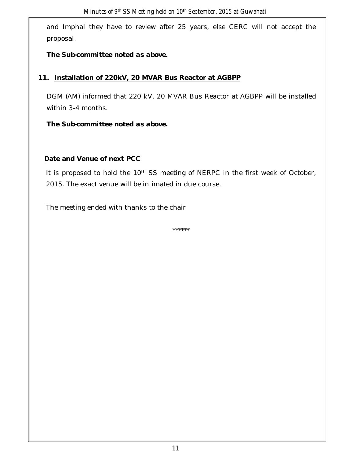and Imphal they have to review after 25 years, else CERC will not accept the proposal.

*The Sub-committee noted as above.* 

# **11. Installation of 220kV, 20 MVAR Bus Reactor at AGBPP**

DGM (AM) informed that 220 kV, 20 MVAR Bus Reactor at AGBPP will be installed within 3-4 months.

*The Sub-committee noted as above.* 

# **Date and Venue of next PCC**

It is proposed to hold the 10<sup>th</sup> SS meeting of NERPC in the first week of October, 2015. The exact venue will be intimated in due course.

The meeting ended with thanks to the chair

\*\*\*\*\*\*